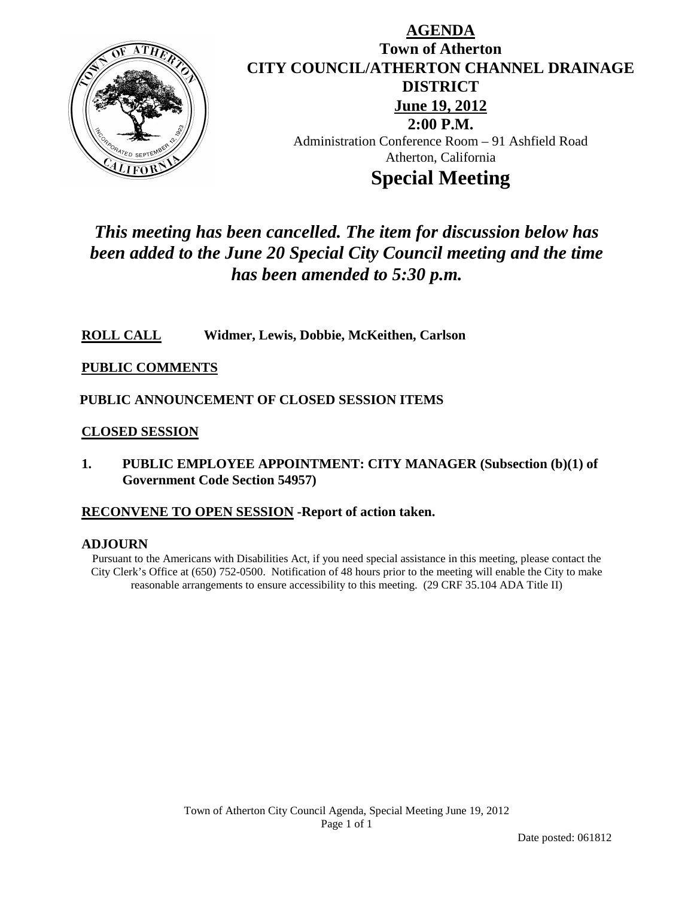

# **AGENDA Town of Atherton CITY COUNCIL/ATHERTON CHANNEL DRAINAGE DISTRICT June 19, 2012 2:00 P.M.** Administration Conference Room – 91 Ashfield Road Atherton, California

# **Special Meeting**

# *This meeting has been cancelled. The item for discussion below has been added to the June 20 Special City Council meeting and the time has been amended to 5:30 p.m.*

## **ROLL CALL Widmer, Lewis, Dobbie, McKeithen, Carlson**

### **PUBLIC COMMENTS**

## **PUBLIC ANNOUNCEMENT OF CLOSED SESSION ITEMS**

### **CLOSED SESSION**

**1. PUBLIC EMPLOYEE APPOINTMENT: CITY MANAGER (Subsection (b)(1) of Government Code Section 54957)**

### **RECONVENE TO OPEN SESSION -Report of action taken.**

### **ADJOURN**

Pursuant to the Americans with Disabilities Act, if you need special assistance in this meeting, please contact the City Clerk's Office at (650) 752-0500. Notification of 48 hours prior to the meeting will enable the City to make reasonable arrangements to ensure accessibility to this meeting. (29 CRF 35.104 ADA Title II)